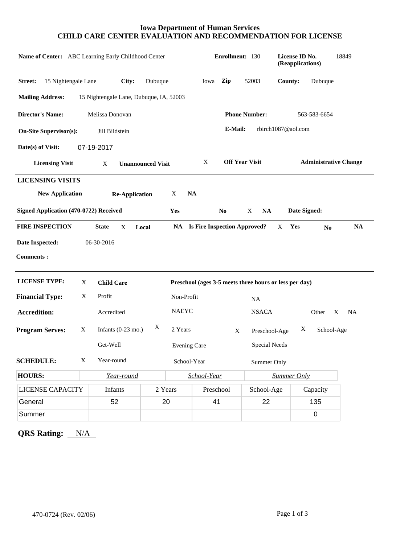## **Iowa Department of Human Services CHILD CARE CENTER EVALUATION AND RECOMMENDATION FOR LICENSE**

| Name of Center: ABC Learning Early Childhood Center |                               |                                         |                                                        |                     |                            | Enrollment: 130 |                |                                        | License ID No.<br>(Reapplications)      |                | 18849     |  |
|-----------------------------------------------------|-------------------------------|-----------------------------------------|--------------------------------------------------------|---------------------|----------------------------|-----------------|----------------|----------------------------------------|-----------------------------------------|----------------|-----------|--|
| 15 Nightengale Lane<br>Street:                      |                               | City:                                   | Dubuque                                                |                     |                            | Iowa            | Zip            | 52003                                  | County:                                 | Dubuque        |           |  |
| <b>Mailing Address:</b>                             |                               | 15 Nightengale Lane, Dubuque, IA, 52003 |                                                        |                     |                            |                 |                |                                        |                                         |                |           |  |
| <b>Director's Name:</b><br>Melissa Donovan          |                               |                                         |                                                        |                     |                            |                 |                | <b>Phone Number:</b>                   |                                         | 563-583-6654   |           |  |
| <b>On-Site Supervisor(s):</b>                       |                               | E-Mail:<br>rbirch1087@aol.com           |                                                        |                     |                            |                 |                |                                        |                                         |                |           |  |
| Date(s) of Visit:                                   | 07-19-2017                    |                                         |                                                        |                     |                            |                 |                |                                        |                                         |                |           |  |
| <b>Licensing Visit</b>                              | X<br><b>Unannounced Visit</b> |                                         |                                                        |                     | <b>Off Year Visit</b><br>X |                 |                |                                        | <b>Administrative Change</b>            |                |           |  |
| <b>LICENSING VISITS</b>                             |                               |                                         |                                                        |                     |                            |                 |                |                                        |                                         |                |           |  |
| <b>New Application</b>                              |                               | <b>Re-Application</b>                   |                                                        | X                   | <b>NA</b>                  |                 |                |                                        |                                         |                |           |  |
| Signed Application (470-0722) Received              |                               |                                         |                                                        | Yes                 |                            |                 | N <sub>0</sub> | X<br><b>NA</b>                         |                                         | Date Signed:   |           |  |
| <b>FIRE INSPECTION</b>                              | <b>State</b>                  | X                                       | Local                                                  |                     |                            |                 |                | <b>NA</b> Is Fire Inspection Approved? | Yes<br>X                                | N <sub>0</sub> | <b>NA</b> |  |
| Date Inspected:                                     | 06-30-2016                    |                                         |                                                        |                     |                            |                 |                |                                        |                                         |                |           |  |
| <b>Comments:</b>                                    |                               |                                         |                                                        |                     |                            |                 |                |                                        |                                         |                |           |  |
| <b>LICENSE TYPE:</b>                                | X                             | <b>Child Care</b>                       | Preschool (ages 3-5 meets three hours or less per day) |                     |                            |                 |                |                                        |                                         |                |           |  |
| <b>Financial Type:</b>                              | X                             | Profit                                  |                                                        |                     | Non-Profit                 |                 |                |                                        | NA                                      |                |           |  |
| <b>Accredition:</b>                                 |                               | Accredited                              |                                                        |                     | <b>NAEYC</b>               |                 |                |                                        | <b>NSACA</b><br>Other<br>X<br><b>NA</b> |                |           |  |
| <b>Program Serves:</b>                              | X                             | X<br>Infants $(0-23 \text{ mo.})$       |                                                        |                     | 2 Years<br>$\mathbf X$     |                 |                |                                        | X<br>School-Age<br>Preschool-Age        |                |           |  |
|                                                     |                               | Get-Well                                |                                                        | <b>Evening Care</b> |                            |                 |                | Special Needs                          |                                         |                |           |  |
| <b>SCHEDULE:</b>                                    | X                             | Year-round                              |                                                        |                     | School-Year                |                 |                |                                        | Summer Only                             |                |           |  |
| <b>HOURS:</b>                                       |                               | Year-round                              |                                                        |                     | School-Year                |                 |                |                                        | <b>Summer Only</b>                      |                |           |  |
| <b>LICENSE CAPACITY</b>                             |                               | <b>Infants</b>                          | 2 Years                                                |                     |                            | Preschool       |                | School-Age                             |                                         | Capacity       |           |  |
| General                                             |                               | 52                                      | 20                                                     |                     |                            | 41              |                | 22                                     |                                         | 135            |           |  |
| Summer                                              |                               |                                         |                                                        |                     |                            |                 |                |                                        |                                         | $\mathbf 0$    |           |  |

**QRS Rating:** N/A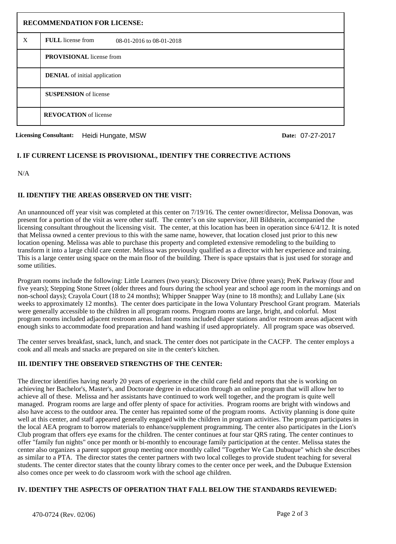| <b>RECOMMENDATION FOR LICENSE:</b> |                                               |  |  |  |
|------------------------------------|-----------------------------------------------|--|--|--|
| X                                  | FULL license from<br>08-01-2016 to 08-01-2018 |  |  |  |
|                                    | <b>PROVISIONAL</b> license from               |  |  |  |
|                                    | <b>DENIAL</b> of initial application          |  |  |  |
|                                    | <b>SUSPENSION</b> of license                  |  |  |  |
|                                    | <b>REVOCATION</b> of license                  |  |  |  |

**Licensing Consultant: Date:** Heidi Hungate, MSW 07-27-2017

## **I. IF CURRENT LICENSE IS PROVISIONAL, IDENTIFY THE CORRECTIVE ACTIONS**

N/A

## **II. IDENTIFY THE AREAS OBSERVED ON THE VISIT:**

An unannounced off year visit was completed at this center on 7/19/16. The center owner/director, Melissa Donovan, was present for a portion of the visit as were other staff. The center's on site supervisor, Jill Bildstein, accompanied the licensing consultant throughout the licensing visit. The center, at this location has been in operation since 6/4/12. It is noted that Melissa owned a center previous to this with the same name, however, that location closed just prior to this new location opening. Melissa was able to purchase this property and completed extensive remodeling to the building to transform it into a large child care center. Melissa was previously qualified as a director with her experience and training. This is a large center using space on the main floor of the building. There is space upstairs that is just used for storage and some utilities.

Program rooms include the following: Little Learners (two years); Discovery Drive (three years); PreK Parkway (four and five years); Stepping Stone Street (older threes and fours during the school year and school age room in the mornings and on non-school days); Crayola Court (18 to 24 months); Whipper Snapper Way (nine to 18 months); and Lullaby Lane (six weeks to approximately 12 months). The center does participate in the Iowa Voluntary Preschool Grant program. Materials were generally accessible to the children in all program rooms. Program rooms are large, bright, and colorful. Most program rooms included adjacent restroom areas. Infant rooms included diaper stations and/or restroom areas adjacent with enough sinks to accommodate food preparation and hand washing if used appropriately. All program space was observed.

The center serves breakfast, snack, lunch, and snack. The center does not participate in the CACFP. The center employs a cook and all meals and snacks are prepared on site in the center's kitchen.

# **III. IDENTIFY THE OBSERVED STRENGTHS OF THE CENTER:**

The director identifies having nearly 20 years of experience in the child care field and reports that she is working on achieving her Bachelor's, Master's, and Doctorate degree in education through an online program that will allow her to achieve all of these. Melissa and her assistants have continued to work well together, and the program is quite well managed. Program rooms are large and offer plenty of space for activities. Program rooms are bright with windows and also have access to the outdoor area. The center has repainted some of the program rooms. Activity planning is done quite well at this center, and staff appeared generally engaged with the children in program activities. The program participates in the local AEA program to borrow materials to enhance/supplement programming. The center also participates in the Lion's Club program that offers eye exams for the children. The center continues at four star QRS rating. The center continues to offer "family fun nights" once per month or bi-monthly to encourage family participation at the center. Melissa states the center also organizes a parent support group meeting once monthly called "Together We Can Dubuque" which she describes as similar to a PTA. The director states the center partners with two local colleges to provide student teaching for several students. The center director states that the county library comes to the center once per week, and the Dubuque Extension also comes once per week to do classroom work with the school age children.

#### **IV. IDENTIFY THE ASPECTS OF OPERATION THAT FALL BELOW THE STANDARDS REVIEWED:**